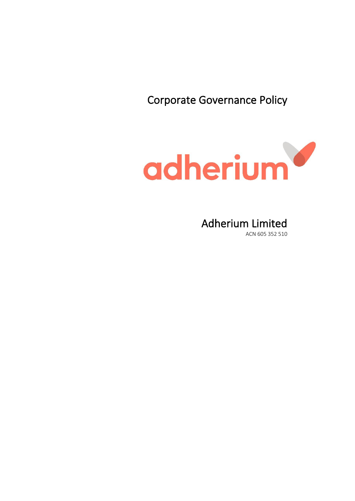Corporate Governance Policy



# Adherium Limited

ACN 605 352 510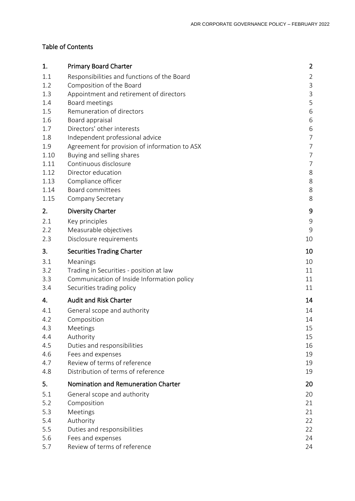# Table of Contents

| 1.           | <b>Primary Board Charter</b>                  | $\overline{2}$ |
|--------------|-----------------------------------------------|----------------|
| 1.1          | Responsibilities and functions of the Board   | $\overline{2}$ |
| 1.2          | Composition of the Board                      | $\mathsf 3$    |
| 1.3          | Appointment and retirement of directors       | $\mathsf 3$    |
| 1.4          | Board meetings                                | 5              |
| 1.5          | Remuneration of directors                     | 6              |
| 1.6          | Board appraisal                               | 6              |
| 1.7          | Directors' other interests                    | 6              |
| 1.8          | Independent professional advice               | $\overline{7}$ |
| 1.9          | Agreement for provision of information to ASX | $\overline{7}$ |
| 1.10         | Buying and selling shares                     | $\overline{7}$ |
| 1.11         | Continuous disclosure                         | $\overline{7}$ |
| 1.12         | Director education                            | 8<br>8         |
| 1.13<br>1.14 | Compliance officer<br><b>Board committees</b> | 8              |
| 1.15         | Company Secretary                             | 8              |
|              |                                               |                |
| 2.           | <b>Diversity Charter</b>                      | 9              |
| 2.1          | Key principles                                | 9              |
| 2.2          | Measurable objectives                         | 9              |
| 2.3          | Disclosure requirements                       | 10             |
| 3.           | <b>Securities Trading Charter</b>             | 10             |
| 3.1          | Meanings                                      | 10             |
| 3.2          | Trading in Securities - position at law       | 11             |
| 3.3          | Communication of Inside Information policy    | 11             |
| 3.4          | Securities trading policy                     | 11             |
| 4.           | <b>Audit and Risk Charter</b>                 | 14             |
| 4.1          | General scope and authority                   | 14             |
| 4.2          | Composition                                   | 14             |
| 4.3          | Meetings                                      | 15             |
| 4.4          | Authority                                     | 15             |
| 4.5          | Duties and responsibilities                   | 16             |
| 4.6          | Fees and expenses                             | 19             |
| 4.7          | Review of terms of reference                  | 19             |
| 4.8          | Distribution of terms of reference            | 19             |
| 5.           | Nomination and Remuneration Charter           | 20             |
| 5.1          | General scope and authority                   | 20             |
| 5.2          | Composition                                   | 21             |
| 5.3          | Meetings                                      | 21             |
| 5.4          | Authority                                     | 22             |
| 5.5          | Duties and responsibilities                   | 22             |
| 5.6          | Fees and expenses                             | 24             |
| 5.7          | Review of terms of reference                  | 24             |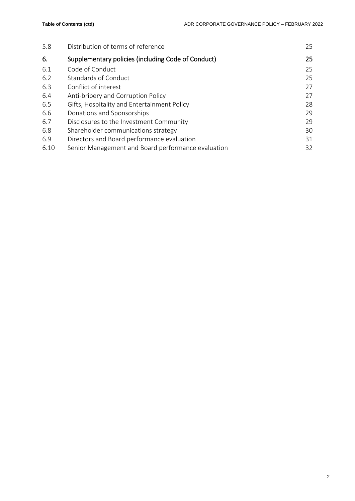| 5.8  | Distribution of terms of reference                 | 25 |
|------|----------------------------------------------------|----|
| 6.   | Supplementary policies (including Code of Conduct) | 25 |
| 6.1  | Code of Conduct                                    | 25 |
| 6.2  | <b>Standards of Conduct</b>                        | 25 |
| 6.3  | Conflict of interest                               | 27 |
| 6.4  | Anti-bribery and Corruption Policy                 | 27 |
| 6.5  | Gifts, Hospitality and Entertainment Policy        | 28 |
| 6.6  | Donations and Sponsorships                         | 29 |
| 6.7  | Disclosures to the Investment Community            | 29 |
| 6.8  | Shareholder communications strategy                | 30 |
| 6.9  | Directors and Board performance evaluation         | 31 |
| 6.10 | Senior Management and Board performance evaluation | 32 |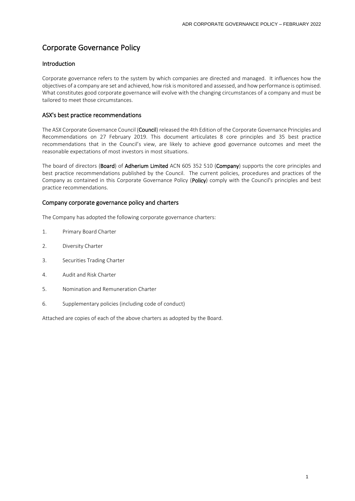# Corporate Governance Policy

# Introduction

Corporate governance refers to the system by which companies are directed and managed. It influences how the objectives of a company are set and achieved, how risk is monitored and assessed, and how performance is optimised. What constitutes good corporate governance will evolve with the changing circumstances of a company and must be tailored to meet those circumstances.

# ASX's best practice recommendations

The ASX Corporate Governance Council (Council) released the 4th Edition of the Corporate Governance Principles and Recommendations on 27 February 2019. This document articulates 8 core principles and 35 best practice recommendations that in the Council's view, are likely to achieve good governance outcomes and meet the reasonable expectations of most investors in most situations.

The board of directors (Board) of Adherium Limited ACN 605 352 510 (Company) supports the core principles and best practice recommendations published by the Council. The current policies, procedures and practices of the Company as contained in this Corporate Governance Policy (Policy) comply with the Council's principles and best practice recommendations.

# Company corporate governance policy and charters

The Company has adopted the following corporate governance charters:

- 1. Primary Board Charter
- 2. Diversity Charter
- 3. Securities Trading Charter
- 4. Audit and Risk Charter
- 5. Nomination and Remuneration Charter
- 6. Supplementary policies (including code of conduct)

Attached are copies of each of the above charters as adopted by the Board.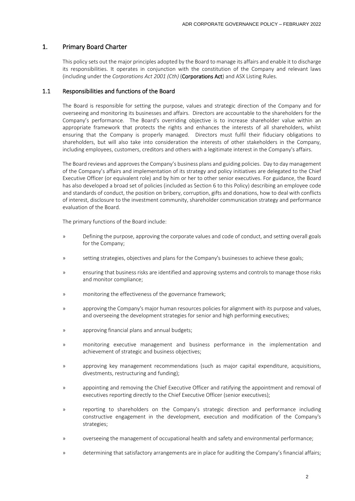# 1. Primary Board Charter

This policy sets out the major principles adopted by the Board to manage its affairs and enable it to discharge its responsibilities. It operates in conjunction with the constitution of the Company and relevant laws (including under the *Corporations Act 2001 (Cth)* (Corporations Act) and ASX Listing Rules.

# 1.1 Responsibilities and functions of the Board

The Board is responsible for setting the purpose, values and strategic direction of the Company and for overseeing and monitoring its businesses and affairs. Directors are accountable to the shareholders for the Company's performance. The Board's overriding objective is to increase shareholder value within an appropriate framework that protects the rights and enhances the interests of all shareholders, whilst ensuring that the Company is properly managed. Directors must fulfil their fiduciary obligations to shareholders, but will also take into consideration the interests of other stakeholders in the Company, including employees, customers, creditors and others with a legitimate interest in the Company's affairs.

The Board reviews and approves the Company's business plans and guiding policies. Day to day management of the Company's affairs and implementation of its strategy and policy initiatives are delegated to the Chief Executive Officer (or equivalent role) and by him or her to other senior executives. For guidance, the Board has also developed a broad set of policies (included as Section 6 to this Policy) describing an employee code and standards of conduct, the position on bribery, corruption, gifts and donations, how to deal with conflicts of interest, disclosure to the investment community, shareholder communication strategy and performance evaluation of the Board.

The primary functions of the Board include:

- » Defining the purpose, approving the corporate values and code of conduct, and setting overall goals for the Company;
- » setting strategies, objectives and plans for the Company's businesses to achieve these goals;
- » ensuring that business risks are identified and approving systems and controls to manage those risks and monitor compliance;
- » monitoring the effectiveness of the governance framework;
- » approving the Company's major human resources policies for alignment with its purpose and values, and overseeing the development strategies for senior and high performing executives;
- » approving financial plans and annual budgets;
- » monitoring executive management and business performance in the implementation and achievement of strategic and business objectives;
- » approving key management recommendations (such as major capital expenditure, acquisitions, divestments, restructuring and funding);
- » appointing and removing the Chief Executive Officer and ratifying the appointment and removal of executives reporting directly to the Chief Executive Officer (senior executives);
- » reporting to shareholders on the Company's strategic direction and performance including constructive engagement in the development, execution and modification of the Company's strategies;
- » overseeing the management of occupational health and safety and environmental performance;
- » determining that satisfactory arrangements are in place for auditing the Company's financial affairs;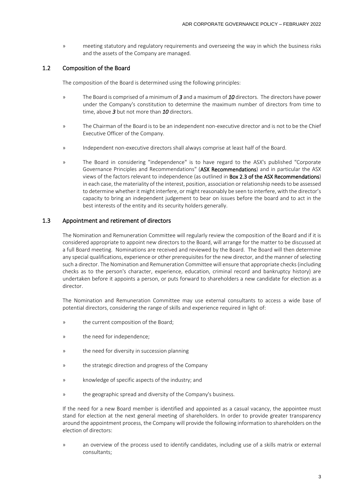» meeting statutory and regulatory requirements and overseeing the way in which the business risks and the assets of the Company are managed.

# 1.2 Composition of the Board

The composition of the Board is determined using the following principles:

- » The Board is comprised of a minimum of *3* and a maximum of *10* directors. The directors have power under the Company's constitution to determine the maximum number of directors from time to time, above *3* but not more than *10* directors.
- » The Chairman of the Board is to be an independent non-executive director and is not to be the Chief Executive Officer of the Company.
- » Independent non-executive directors shall always comprise at least half of the Board.
- » The Board in considering "independence" is to have regard to the ASX's published "Corporate Governance Principles and Recommendations" (ASX Recommendations) and in particular the ASX views of the factors relevant to independence (as outlined in Box 2.3 of the ASX Recommendations) in each case, the materiality of the interest, position, association or relationship needs to be assessed to determine whether it might interfere, or might reasonably be seen to interfere, with the director's capacity to bring an independent judgement to bear on issues before the board and to act in the best interests of the entity and its security holders generally.

# 1.3 Appointment and retirement of directors

The Nomination and Remuneration Committee will regularly review the composition of the Board and if it is considered appropriate to appoint new directors to the Board, will arrange for the matter to be discussed at a full Board meeting. Nominations are received and reviewed by the Board. The Board will then determine any special qualifications, experience or other prerequisites for the new director, and the manner of selecting such a director. The Nomination and Remuneration Committee will ensure that appropriate checks (including checks as to the person's character, experience, education, criminal record and bankruptcy history) are undertaken before it appoints a person, or puts forward to shareholders a new candidate for election as a director.

The Nomination and Remuneration Committee may use external consultants to access a wide base of potential directors, considering the range of skills and experience required in light of:

- » the current composition of the Board;
- » the need for independence;
- » the need for diversity in succession planning
- » the strategic direction and progress of the Company
- » knowledge of specific aspects of the industry; and
- » the geographic spread and diversity of the Company's business.

If the need for a new Board member is identified and appointed as a casual vacancy, the appointee must stand for election at the next general meeting of shareholders. In order to provide greater transparency around the appointment process, the Company will provide the following information to shareholders on the election of directors:

» an overview of the process used to identify candidates, including use of a skills matrix or external consultants;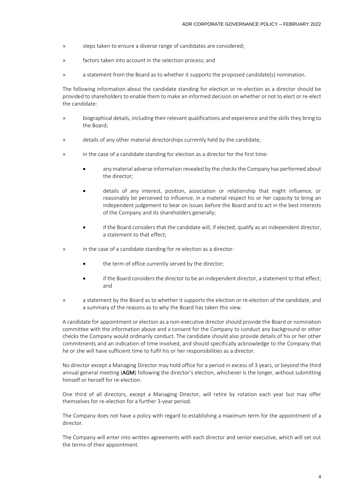- » steps taken to ensure a diverse range of candidates are considered;
- » factors taken into account in the selection process; and
- » a statement from the Board as to whether it supports the proposed candidate(s) nomination.

The following information about the candidate standing for election or re-election as a director should be provided to shareholders to enable them to make an informed decision on whether or not to elect or re-elect the candidate:

- » biographical details, including their relevant qualifications and experience and the skills they bring to the Board;
- » details of any other material directorships currently held by the candidate;
- » in the case of a candidate standing for election as a director for the first time:
	- any material adverse information revealed by the checks the Company has performed about the director;
	- details of any interest, position, association or relationship that might influence, or reasonably be perceived to influence, in a material respect his or her capacity to bring an independent judgement to bear on issues before the Board and to act in the best interests of the Company and its shareholders generally;
	- if the Board considers that the candidate will, if elected, qualify as an independent director, a statement to that effect;
- » in the case of a candidate standing for re-election as a director:
	- the term of office currently served by the director;
	- if the Board considers the director to be an independent director, a statement to that effect; and
- » a statement by the Board as to whether it supports the election or re-election of the candidate, and a summary of the reasons as to why the Board has taken this view.

A candidate for appointment or election as a non-executive director should provide the Board or nomination committee with the information above and a consent for the Company to conduct any background or other checks the Company would ordinarily conduct. The candidate should also provide details of his or her other commitments and an indication of time involved, and should specifically acknowledge to the Company that he or she will have sufficient time to fulfil his or her responsibilities as a director.

No director except a Managing Director may hold office for a period in excess of 3 years, or beyond the third annual general meeting (AGM) following the director's election, whichever is the longer, without submitting himself or herself for re-election.

One third of all directors, except a Managing Director, will retire by rotation each year but may offer themselves for re-election for a further 3-year period.

The Company does not have a policy with regard to establishing a maximum term for the appointment of a director.

The Company will enter into written agreements with each director and senior executive, which will set out the terms of their appointment.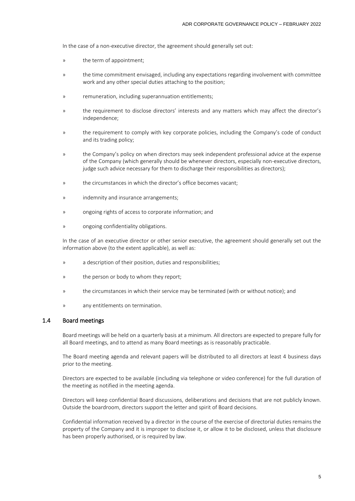In the case of a non-executive director, the agreement should generally set out:

- » the term of appointment;
- » the time commitment envisaged, including any expectations regarding involvement with committee work and any other special duties attaching to the position;
- » remuneration, including superannuation entitlements;
- » the requirement to disclose directors' interests and any matters which may affect the director's independence;
- » the requirement to comply with key corporate policies, including the Company's code of conduct and its trading policy;
- » the Company's policy on when directors may seek independent professional advice at the expense of the Company (which generally should be whenever directors, especially non-executive directors, judge such advice necessary for them to discharge their responsibilities as directors);
- » the circumstances in which the director's office becomes vacant;
- » indemnity and insurance arrangements;
- » ongoing rights of access to corporate information; and
- » ongoing confidentiality obligations.

In the case of an executive director or other senior executive, the agreement should generally set out the information above (to the extent applicable), as well as:

- » a description of their position, duties and responsibilities;
- » the person or body to whom they report;
- » the circumstances in which their service may be terminated (with or without notice); and
- » any entitlements on termination.

#### 1.4 Board meetings

Board meetings will be held on a quarterly basis at a minimum. All directors are expected to prepare fully for all Board meetings, and to attend as many Board meetings as is reasonably practicable.

The Board meeting agenda and relevant papers will be distributed to all directors at least 4 business days prior to the meeting.

Directors are expected to be available (including via telephone or video conference) for the full duration of the meeting as notified in the meeting agenda.

Directors will keep confidential Board discussions, deliberations and decisions that are not publicly known. Outside the boardroom, directors support the letter and spirit of Board decisions.

Confidential information received by a director in the course of the exercise of directorial duties remains the property of the Company and it is improper to disclose it, or allow it to be disclosed, unless that disclosure has been properly authorised, or is required by law.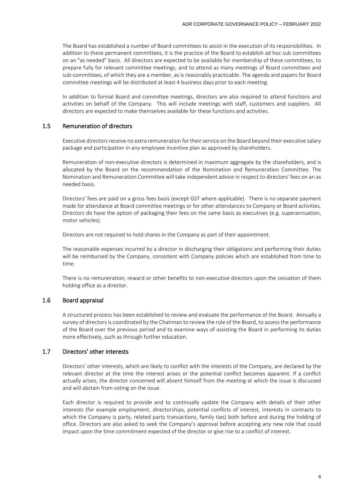The Board has established a number of Board committees to assist in the execution of its responsibilities. In addition to these permanent committees, it is the practice of the Board to establish ad hoc sub committees on an "as needed" basis. All directors are expected to be available for membership of these committees, to prepare fully for relevant committee meetings, and to attend as many meetings of Board committees and sub-committees, of which they are a member, as is reasonably practicable. The agenda and papers for Board committee meetings will be distributed at least 4 business days prior to each meeting.

In addition to formal Board and committee meetings, directors are also required to attend functions and activities on behalf of the Company. This will include meetings with staff, customers and suppliers. All directors are expected to make themselves available for these functions and activities.

## 1.5 Remuneration of directors

Executive directors receive no extra remuneration for their service on the Board beyond their executive salary package and participation in any employee incentive plan as approved by shareholders.

Remuneration of non-executive directors is determined in maximum aggregate by the shareholders, and is allocated by the Board on the recommendation of the Nomination and Remuneration Committee. The Nomination and Remuneration Committee will take independent advice in respect to directors' fees on an as needed basis.

Directors' fees are paid on a gross fees basis (except GST where applicable). There is no separate payment made for attendance at Board committee meetings or for other attendances to Company or Board activities. Directors do have the option of packaging their fees on the same basis as executives (e.g. superannuation, motor vehicles).

Directors are not required to hold shares in the Company as part of their appointment.

The reasonable expenses incurred by a director in discharging their obligations and performing their duties will be reimbursed by the Company, consistent with Company policies which are established from time to time.

There is no remuneration, reward or other benefits to non-executive directors upon the cessation of them holding office as a director.

# 1.6 Board appraisal

A structured process has been established to review and evaluate the performance of the Board. Annually a survey of directors is coordinated by the Chairman to review the role of the Board, to assess the performance of the Board over the previous period and to examine ways of assisting the Board in performing its duties more effectively, such as through further education.

#### 1.7 Directors' other interests

Directors' other interests, which are likely to conflict with the interests of the Company, are declared by the relevant director at the time the interest arises or the potential conflict becomes apparent. If a conflict actually arises, the director concerned will absent himself from the meeting at which the issue is discussed and will abstain from voting on the issue.

Each director is required to provide and to continually update the Company with details of their other interests (for example employment, directorships, potential conflicts of interest, interests in contracts to which the Company is party, related party transactions, family ties) both before and during the holding of office. Directors are also asked to seek the Company's approval before accepting any new role that could impact upon the time commitment expected of the director or give rise to a conflict of interest.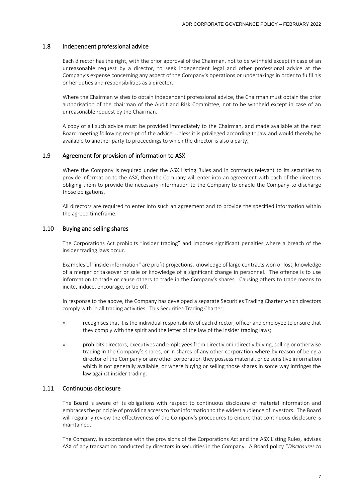# 1.8 Independent professional advice

Each director has the right, with the prior approval of the Chairman, not to be withheld except in case of an unreasonable request by a director, to seek independent legal and other professional advice at the Company's expense concerning any aspect of the Company's operations or undertakings in order to fulfil his or her duties and responsibilities as a director.

Where the Chairman wishes to obtain independent professional advice, the Chairman must obtain the prior authorisation of the chairman of the Audit and Risk Committee, not to be withheld except in case of an unreasonable request by the Chairman.

A copy of all such advice must be provided immediately to the Chairman, and made available at the next Board meeting following receipt of the advice, unless it is privileged according to law and would thereby be available to another party to proceedings to which the director is also a party.

#### 1.9 Agreement for provision of information to ASX

Where the Company is required under the ASX Listing Rules and in contracts relevant to its securities to provide information to the ASX, then the Company will enter into an agreement with each of the directors obliging them to provide the necessary information to the Company to enable the Company to discharge those obligations.

All directors are required to enter into such an agreement and to provide the specified information within the agreed timeframe.

#### 1.10 Buying and selling shares

The Corporations Act prohibits "insider trading" and imposes significant penalties where a breach of the insider trading laws occur.

Examples of "inside information" are profit projections, knowledge of large contracts won or lost, knowledge of a merger or takeover or sale or knowledge of a significant change in personnel. The offence is to use information to trade or cause others to trade in the Company's shares. Causing others to trade means to incite, induce, encourage, or tip off.

In response to the above, the Company has developed a separate Securities Trading Charter which directors comply with in all trading activities. This Securities Trading Charter:

- » recognises that it is the individual responsibility of each director, officer and employee to ensure that they comply with the spirit and the letter of the law of the insider trading laws;
- » prohibits directors, executives and employees from directly or indirectly buying, selling or otherwise trading in the Company's shares, or in shares of any other corporation where by reason of being a director of the Company or any other corporation they possess material, price sensitive information which is not generally available, or where buying or selling those shares in some way infringes the law against insider trading.

# 1.11 Continuous disclosure

The Board is aware of its obligations with respect to continuous disclosure of material information and embraces the principle of providing access to that information to the widest audience of investors. The Board will regularly review the effectiveness of the Company's procedures to ensure that continuous disclosure is maintained.

The Company, in accordance with the provisions of the Corporations Act and the ASX Listing Rules, advises ASX of any transaction conducted by directors in securities in the Company. A Board policy "*Disclosures to*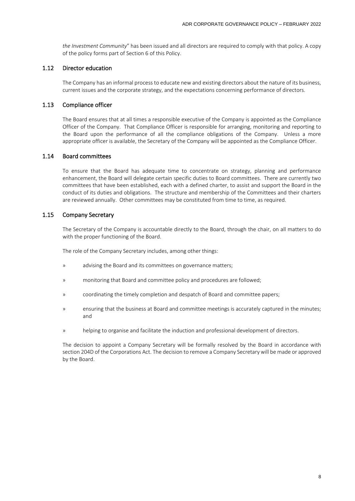*the Investment Community*" has been issued and all directors are required to comply with that policy. A copy of the policy forms part of Section 6 of this Policy.

# 1.12 Director education

The Company has an informal process to educate new and existing directors about the nature of its business, current issues and the corporate strategy, and the expectations concerning performance of directors.

# 1.13 Compliance officer

The Board ensures that at all times a responsible executive of the Company is appointed as the Compliance Officer of the Company. That Compliance Officer is responsible for arranging, monitoring and reporting to the Board upon the performance of all the compliance obligations of the Company. Unless a more appropriate officer is available, the Secretary of the Company will be appointed as the Compliance Officer.

# 1.14 Board committees

To ensure that the Board has adequate time to concentrate on strategy, planning and performance enhancement, the Board will delegate certain specific duties to Board committees. There are currently two committees that have been established, each with a defined charter, to assist and support the Board in the conduct of its duties and obligations. The structure and membership of the Committees and their charters are reviewed annually. Other committees may be constituted from time to time, as required.

# 1.15 Company Secretary

The Secretary of the Company is accountable directly to the Board, through the chair, on all matters to do with the proper functioning of the Board.

The role of the Company Secretary includes, among other things:

- » advising the Board and its committees on governance matters;
- » monitoring that Board and committee policy and procedures are followed;
- » coordinating the timely completion and despatch of Board and committee papers;
- » ensuring that the business at Board and committee meetings is accurately captured in the minutes; and
- » helping to organise and facilitate the induction and professional development of directors.

The decision to appoint a Company Secretary will be formally resolved by the Board in accordance with section 204D of the Corporations Act. The decision to remove a Company Secretary will be made or approved by the Board.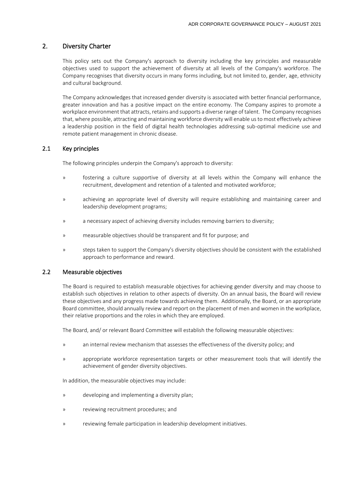# 2. Diversity Charter

This policy sets out the Company's approach to diversity including the key principles and measurable objectives used to support the achievement of diversity at all levels of the Company's workforce. The Company recognises that diversity occurs in many forms including, but not limited to, gender, age, ethnicity and cultural background.

The Company acknowledges that increased gender diversity is associated with better financial performance, greater innovation and has a positive impact on the entire economy. The Company aspires to promote a workplace environment that attracts, retains and supports a diverse range of talent. The Company recognises that, where possible, attracting and maintaining workforce diversity will enable us to most effectively achieve a leadership position in the field of digital health technologies addressing sub-optimal medicine use and remote patient management in chronic disease.

# 2.1 Key principles

The following principles underpin the Company's approach to diversity:

- » fostering a culture supportive of diversity at all levels within the Company will enhance the recruitment, development and retention of a talented and motivated workforce;
- » achieving an appropriate level of diversity will require establishing and maintaining career and leadership development programs;
- » a necessary aspect of achieving diversity includes removing barriers to diversity;
- » measurable objectives should be transparent and fit for purpose; and
- » steps taken to support the Company's diversity objectives should be consistent with the established approach to performance and reward.

# 2.2 Measurable objectives

The Board is required to establish measurable objectives for achieving gender diversity and may choose to establish such objectives in relation to other aspects of diversity. On an annual basis, the Board will review these objectives and any progress made towards achieving them. Additionally, the Board, or an appropriate Board committee, should annually review and report on the placement of men and women in the workplace, their relative proportions and the roles in which they are employed.

The Board, and/ or relevant Board Committee will establish the following measurable objectives:

- » an internal review mechanism that assesses the effectiveness of the diversity policy; and
- » appropriate workforce representation targets or other measurement tools that will identify the achievement of gender diversity objectives.

In addition, the measurable objectives may include:

- » developing and implementing a diversity plan;
- » reviewing recruitment procedures; and
- » reviewing female participation in leadership development initiatives.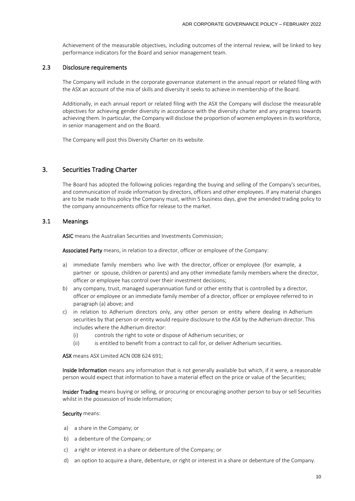Achievement of the measurable objectives, including outcomes of the internal review, will be linked to key performance indicators for the Board and senior management team.

#### 2.3 Disclosure requirements

The Company will include in the corporate governance statement in the annual report or related filing with the ASX an account of the mix of skills and diversity it seeks to achieve in membership of the Board.

Additionally, in each annual report or related filing with the ASX the Company will disclose the measurable objectives for achieving gender diversity in accordance with the diversity charter and any progress towards achieving them. In particular, the Company will disclose the proportion of women employees in its workforce, in senior management and on the Board.

The Company will post this Diversity Charter on its website.

# 3. Securities Trading Charter

The Board has adopted the following policies regarding the buying and selling of the Company's securities, and communication of inside information by directors, officers and other employees. If any material changes are to be made to this policy the Company must, within 5 business days, give the amended trading policy to the company announcements office for release to the market.

# 3.1 Meanings

ASIC means the Australian Securities and Investments Commission;

Associated Party means, in relation to a director, officer or employee of the Company:

- a) immediate family members who live with the director, officer or employee (for example, a partner or spouse, children or parents) and any other immediate family members where the director, officer or employee has control over their investment decisions;
- b) any company, trust, managed superannuation fund or other entity that is controlled by a director, officer or employee or an immediate family member of a director, officer or employee referred to in paragraph (a) above; and
- c) in relation to Adherium directors only, any other person or entity where dealing in Adherium securities by that person or entity would require disclosure to the ASX by the Adherium director. This includes where the Adherium director:
	- (i) controls the right to vote or dispose of Adherium securities; or
	- (ii) is entitled to benefit from a contract to call for, or deliver Adherium securities.

ASX means ASX Limited ACN 008 624 691;

Inside Information means any information that is not generally available but which, if it were, a reasonable person would expect that information to have a material effect on the price or value of the Securities;

Insider Trading means buying or selling, or procuring or encouraging another person to buy or sell Securities whilst in the possession of Inside Information;

#### Security means:

- a) a share in the Company; or
- b) a debenture of the Company; or
- c) a right or interest in a share or debenture of the Company; or
- d) an option to acquire a share, debenture, or right or interest in a share or debenture of the Company.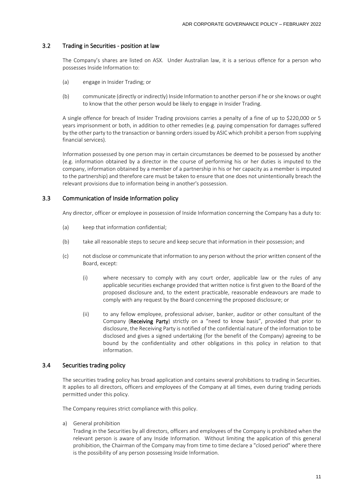# 3.2 Trading in Securities - position at law

The Company's shares are listed on ASX. Under Australian law, it is a serious offence for a person who possesses Inside Information to:

- (a) engage in Insider Trading; or
- (b) communicate (directly or indirectly) Inside Information to another person if he or she knows or ought to know that the other person would be likely to engage in Insider Trading.

A single offence for breach of Insider Trading provisions carries a penalty of a fine of up to \$220,000 or 5 years imprisonment or both, in addition to other remedies (e.g. paying compensation for damages suffered by the other party to the transaction or banning orders issued by ASIC which prohibit a person from supplying financial services).

Information possessed by one person may in certain circumstances be deemed to be possessed by another (e.g. information obtained by a director in the course of performing his or her duties is imputed to the company, information obtained by a member of a partnership in his or her capacity as a member is imputed to the partnership) and therefore care must be taken to ensure that one does not unintentionally breach the relevant provisions due to information being in another's possession.

# 3.3 Communication of Inside Information policy

Any director, officer or employee in possession of Inside Information concerning the Company has a duty to:

- (a) keep that information confidential;
- (b) take all reasonable steps to secure and keep secure that information in their possession; and
- (c) not disclose or communicate that information to any person without the prior written consent of the Board, except:
	- (i) where necessary to comply with any court order, applicable law or the rules of any applicable securities exchange provided that written notice is first given to the Board of the proposed disclosure and, to the extent practicable, reasonable endeavours are made to comply with any request by the Board concerning the proposed disclosure; or
	- (ii) to any fellow employee, professional adviser, banker, auditor or other consultant of the Company (Receiving Party) strictly on a "need to know basis", provided that prior to disclosure, the Receiving Party is notified of the confidential nature of the information to be disclosed and gives a signed undertaking (for the benefit of the Company) agreeing to be bound by the confidentiality and other obligations in this policy in relation to that information.

# 3.4 Securities trading policy

The securities trading policy has broad application and contains several prohibitions to trading in Securities. It applies to all directors, officers and employees of the Company at all times, even during trading periods permitted under this policy.

The Company requires strict compliance with this policy.

<span id="page-13-0"></span>a) General prohibition

Trading in the Securities by all directors, officers and employees of the Company is prohibited when the relevant person is aware of any Inside Information. Without limiting the application of this general prohibition, the Chairman of the Company may from time to time declare a "closed period" where there is the possibility of any person possessing Inside Information.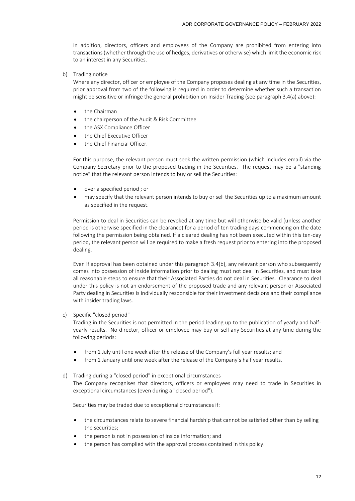In addition, directors, officers and employees of the Company are prohibited from entering into transactions (whether through the use of hedges, derivatives or otherwise) which limit the economic risk to an interest in any Securities.

b) Trading notice

Where any director, officer or employee of the Company proposes dealing at any time in the Securities, prior approval from two of the following is required in order to determine whether such a transaction might be sensitive or infringe the general prohibition on Insider Trading (see paragraph 3.4[\(a\)](#page-13-0) above):

- the Chairman
- the chairperson of the Audit & Risk Committee
- the ASX Compliance Officer
- the Chief Executive Officer
- the Chief Financial Officer.

For this purpose, the relevant person must seek the written permission (which includes email) via the Company Secretary prior to the proposed trading in the Securities. The request may be a "standing notice" that the relevant person intends to buy or sell the Securities:

- over a specified period ; or
- may specify that the relevant person intends to buy or sell the Securities up to a maximum amount as specified in the request.

Permission to deal in Securities can be revoked at any time but will otherwise be valid (unless another period is otherwise specified in the clearance) for a period of ten trading days commencing on the date following the permission being obtained. If a cleared dealing has not been executed within this ten-day period, the relevant person will be required to make a fresh request prior to entering into the proposed dealing.

Even if approval has been obtained under this paragraph 3.4(b), any relevant person who subsequently comes into possession of inside information prior to dealing must not deal in Securities, and must take all reasonable steps to ensure that their Associated Parties do not deal in Securities. Clearance to deal under this policy is not an endorsement of the proposed trade and any relevant person or Associated Party dealing in Securities is individually responsible for their investment decisions and their compliance with insider trading laws.

c) Specific "closed period"

Trading in the Securities is not permitted in the period leading up to the publication of yearly and halfyearly results. No director, officer or employee may buy or sell any Securities at any time during the following periods:

- from 1 July until one week after the release of the Company's full year results; and
- from 1 January until one week after the release of the Company's half year results.
- d) Trading during a "closed period" in exceptional circumstances

The Company recognises that directors, officers or employees may need to trade in Securities in exceptional circumstances (even during a "closed period").

Securities may be traded due to exceptional circumstances if:

- the circumstances relate to severe financial hardship that cannot be satisfied other than by selling the securities;
- the person is not in possession of inside information; and
- the person has complied with the approval process contained in this policy.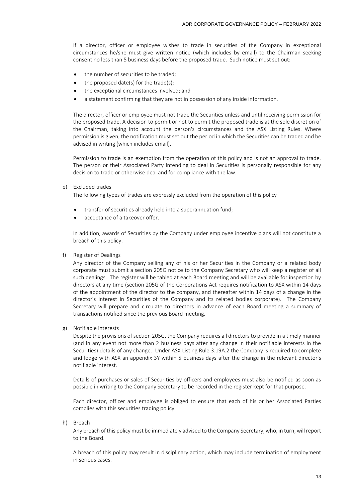If a director, officer or employee wishes to trade in securities of the Company in exceptional circumstances he/she must give written notice (which includes by email) to the Chairman seeking consent no less than 5 business days before the proposed trade. Such notice must set out:

- the number of securities to be traded;
- the proposed date(s) for the trade(s);
- the exceptional circumstances involved; and
- a statement confirming that they are not in possession of any inside information.

The director, officer or employee must not trade the Securities unless and until receiving permission for the proposed trade. A decision to permit or not to permit the proposed trade is at the sole discretion of the Chairman, taking into account the person's circumstances and the ASX Listing Rules. Where permission is given, the notification must set out the period in which the Securities can be traded and be advised in writing (which includes email).

Permission to trade is an exemption from the operation of this policy and is not an approval to trade. The person or their Associated Party intending to deal in Securities is personally responsible for any decision to trade or otherwise deal and for compliance with the law.

e) Excluded trades

The following types of trades are expressly excluded from the operation of this policy

- transfer of securities already held into a superannuation fund;
- acceptance of a takeover offer.

In addition, awards of Securities by the Company under employee incentive plans will not constitute a breach of this policy.

f) Register of Dealings

Any director of the Company selling any of his or her Securities in the Company or a related body corporate must submit a section 205G notice to the Company Secretary who will keep a register of all such dealings. The register will be tabled at each Board meeting and will be available for inspection by directors at any time (section 205G of the Corporations Act requires notification to ASX within 14 days of the appointment of the director to the company, and thereafter within 14 days of a change in the director's interest in Securities of the Company and its related bodies corporate). The Company Secretary will prepare and circulate to directors in advance of each Board meeting a summary of transactions notified since the previous Board meeting.

g) Notifiable interests

Despite the provisions of section 205G, the Company requires all directors to provide in a timely manner (and in any event not more than 2 business days after any change in their notifiable interests in the Securities) details of any change. Under ASX Listing Rule 3.19A.2 the Company is required to complete and lodge with ASX an appendix 3Y within 5 business days after the change in the relevant director's notifiable interest.

Details of purchases or sales of Securities by officers and employees must also be notified as soon as possible in writing to the Company Secretary to be recorded in the register kept for that purpose.

Each director, officer and employee is obliged to ensure that each of his or her Associated Parties complies with this securities trading policy.

h) Breach

Any breach of this policy must be immediately advised to the Company Secretary, who, in turn, will report to the Board.

A breach of this policy may result in disciplinary action, which may include termination of employment in serious cases.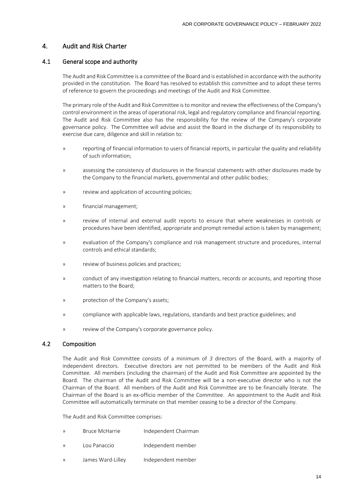# 4. Audit and Risk Charter

# 4.1 General scope and authority

The Audit and Risk Committee is a committee of the Board and is established in accordance with the authority provided in the constitution. The Board has resolved to establish this committee and to adopt these terms of reference to govern the proceedings and meetings of the Audit and Risk Committee.

The primary role of the Audit and Risk Committee is to monitor and review the effectiveness of the Company's control environment in the areas of operational risk, legal and regulatory compliance and financial reporting. The Audit and Risk Committee also has the responsibility for the review of the Company's corporate governance policy. The Committee will advise and assist the Board in the discharge of its responsibility to exercise due care, diligence and skill in relation to:

- » reporting of financial information to users of financial reports, in particular the quality and reliability of such information;
- » assessing the consistency of disclosures in the financial statements with other disclosures made by the Company to the financial markets, governmental and other public bodies;
- » review and application of accounting policies;
- » financial management;
- » review of internal and external audit reports to ensure that where weaknesses in controls or procedures have been identified, appropriate and prompt remedial action is taken by management;
- » evaluation of the Company's compliance and risk management structure and procedures, internal controls and ethical standards;
- » review of business policies and practices;
- » conduct of any investigation relating to financial matters, records or accounts, and reporting those matters to the Board;
- » protection of the Company's assets;
- » compliance with applicable laws, regulations, standards and best practice guidelines; and
- » review of the Company's corporate governance policy.

#### 4.2 Composition

The Audit and Risk Committee consists of a minimum of *3* directors of the Board, with a majority of independent directors. Executive directors are not permitted to be members of the Audit and Risk Committee. All members (including the chairman) of the Audit and Risk Committee are appointed by the Board. The chairman of the Audit and Risk Committee will be a non-executive director who is not the Chairman of the Board. All members of the Audit and Risk Committee are to be financially literate. The Chairman of the Board is an ex-officio member of the Committee. An appointment to the Audit and Risk Committee will automatically terminate on that member ceasing to be a director of the Company.

The Audit and Risk Committee comprises:

- » Bruce McHarrie Independent Chairman
- » Lou Panaccio lndependent member
- » James Ward-Lilley Independent member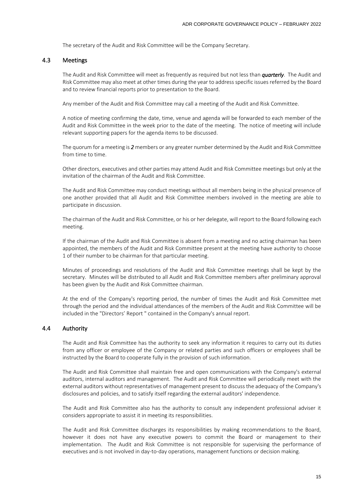The secretary of the Audit and Risk Committee will be the Company Secretary.

#### 4.3 Meetings

The Audit and Risk Committee will meet as frequently as required but not less than *quarterly*. The Audit and Risk Committee may also meet at other times during the year to address specific issues referred by the Board and to review financial reports prior to presentation to the Board.

Any member of the Audit and Risk Committee may call a meeting of the Audit and Risk Committee.

A notice of meeting confirming the date, time, venue and agenda will be forwarded to each member of the Audit and Risk Committee in the week prior to the date of the meeting. The notice of meeting will include relevant supporting papers for the agenda items to be discussed.

The quorum for a meeting is *2* members or any greater number determined by the Audit and Risk Committee from time to time.

Other directors, executives and other parties may attend Audit and Risk Committee meetings but only at the invitation of the chairman of the Audit and Risk Committee.

The Audit and Risk Committee may conduct meetings without all members being in the physical presence of one another provided that all Audit and Risk Committee members involved in the meeting are able to participate in discussion.

The chairman of the Audit and Risk Committee, or his or her delegate, will report to the Board following each meeting.

If the chairman of the Audit and Risk Committee is absent from a meeting and no acting chairman has been appointed, the members of the Audit and Risk Committee present at the meeting have authority to choose 1 of their number to be chairman for that particular meeting.

Minutes of proceedings and resolutions of the Audit and Risk Committee meetings shall be kept by the secretary. Minutes will be distributed to all Audit and Risk Committee members after preliminary approval has been given by the Audit and Risk Committee chairman.

At the end of the Company's reporting period, the number of times the Audit and Risk Committee met through the period and the individual attendances of the members of the Audit and Risk Committee will be included in the "Directors' Report " contained in the Company's annual report.

# 4.4 Authority

The Audit and Risk Committee has the authority to seek any information it requires to carry out its duties from any officer or employee of the Company or related parties and such officers or employees shall be instructed by the Board to cooperate fully in the provision of such information.

The Audit and Risk Committee shall maintain free and open communications with the Company's external auditors, internal auditors and management. The Audit and Risk Committee will periodically meet with the external auditors without representatives of management present to discuss the adequacy of the Company's disclosures and policies, and to satisfy itself regarding the external auditors' independence.

The Audit and Risk Committee also has the authority to consult any independent professional adviser it considers appropriate to assist it in meeting its responsibilities.

The Audit and Risk Committee discharges its responsibilities by making recommendations to the Board, however it does not have any executive powers to commit the Board or management to their implementation. The Audit and Risk Committee is not responsible for supervising the performance of executives and is not involved in day-to-day operations, management functions or decision making.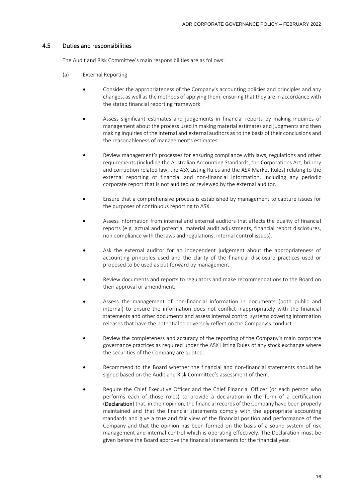# 4.5 Duties and responsibilities

The Audit and Risk Committee's main responsibilities are as follows:

- (a) External Reporting
	- Consider the appropriateness of the Company's accounting policies and principles and any changes, as well as the methods of applying them, ensuring that they are in accordance with the stated financial reporting framework.
	- Assess significant estimates and judgements in financial reports by making inquiries of management about the process used in making material estimates and judgments and then making inquiries of the internal and external auditors as to the basis of their conclusions and the reasonableness of management's estimates.
	- Review management's processes for ensuring compliance with laws, regulations and other requirements (including the Australian Accounting Standards, the Corporations Act, bribery and corruption related law, the ASX Listing Rules and the ASX Market Rules) relating to the external reporting of financial and non-financial information, including any periodic corporate report that is not audited or reviewed by the external auditor.
	- Ensure that a comprehensive process is established by management to capture issues for the purposes of continuous reporting to ASX.
	- Assess information from internal and external auditors that affects the quality of financial reports (e.g. actual and potential material audit adjustments, financial report disclosures, non-compliance with the laws and regulations, internal control issues).
	- Ask the external auditor for an independent judgement about the appropriateness of accounting principles used and the clarity of the financial disclosure practices used or proposed to be used as put forward by management.
	- Review documents and reports to regulators and make recommendations to the Board on their approval or amendment.
	- Assess the management of non-financial information in documents (both public and internal) to ensure the information does not conflict inappropriately with the financial statements and other documents and assess internal control systems covering information releases that have the potential to adversely reflect on the Company's conduct.
	- Review the completeness and accuracy of the reporting of the Company's main corporate governance practices as required under the ASX Listing Rules of any stock exchange where the securities of the Company are quoted.
	- Recommend to the Board whether the financial and non-financial statements should be signed based on the Audit and Risk Committee's assessment of them.
	- Require the Chief Executive Officer and the Chief Financial Officer (or each person who performs each of those roles) to provide a declaration in the form of a certification (Declaration) that, in their opinion, the financial records of the Company have been properly maintained and that the financial statements comply with the appropriate accounting standards and give a true and fair view of the financial position and performance of the Company and that the opinion has been formed on the basis of a sound system of risk management and internal control which is operating effectively. The Declaration must be given before the Board approve the financial statements for the financial year.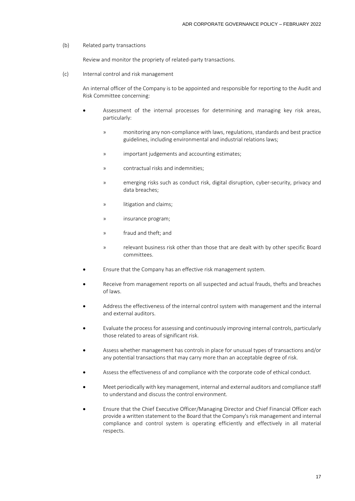#### (b) Related party transactions

Review and monitor the propriety of related-party transactions.

(c) Internal control and risk management

An internal officer of the Company is to be appointed and responsible for reporting to the Audit and Risk Committee concerning:

- Assessment of the internal processes for determining and managing key risk areas, particularly:
	- » monitoring any non-compliance with laws, regulations, standards and best practice guidelines, including environmental and industrial relations laws;
	- » important judgements and accounting estimates;
	- » contractual risks and indemnities;
	- » emerging risks such as conduct risk, digital disruption, cyber-security, privacy and data breaches;
	- » litigation and claims;
	- » insurance program;
	- » fraud and theft; and
	- » relevant business risk other than those that are dealt with by other specific Board committees.
- Ensure that the Company has an effective risk management system.
- Receive from management reports on all suspected and actual frauds, thefts and breaches of laws.
- Address the effectiveness of the internal control system with management and the internal and external auditors.
- Evaluate the process for assessing and continuously improving internal controls, particularly those related to areas of significant risk.
- Assess whether management has controls in place for unusual types of transactions and/or any potential transactions that may carry more than an acceptable degree of risk.
- Assess the effectiveness of and compliance with the corporate code of ethical conduct.
- Meet periodically with key management, internal and external auditors and compliance staff to understand and discuss the control environment.
- Ensure that the Chief Executive Officer/Managing Director and Chief Financial Officer each provide a written statement to the Board that the Company's risk management and internal compliance and control system is operating efficiently and effectively in all material respects.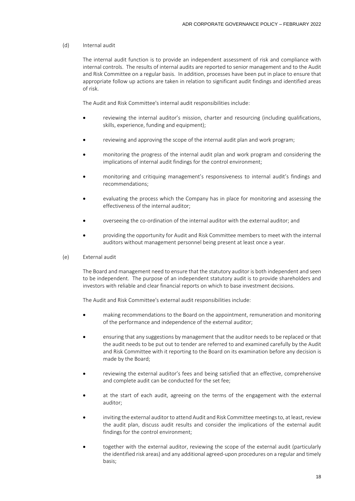#### (d) Internal audit

The internal audit function is to provide an independent assessment of risk and compliance with internal controls. The results of internal audits are reported to senior management and to the Audit and Risk Committee on a regular basis. In addition, processes have been put in place to ensure that appropriate follow up actions are taken in relation to significant audit findings and identified areas of risk.

The Audit and Risk Committee's internal audit responsibilities include:

- reviewing the internal auditor's mission, charter and resourcing (including qualifications, skills, experience, funding and equipment);
- reviewing and approving the scope of the internal audit plan and work program;
- monitoring the progress of the internal audit plan and work program and considering the implications of internal audit findings for the control environment;
- monitoring and critiquing management's responsiveness to internal audit's findings and recommendations;
- evaluating the process which the Company has in place for monitoring and assessing the effectiveness of the internal auditor;
- overseeing the co-ordination of the internal auditor with the external auditor; and
- providing the opportunity for Audit and Risk Committee members to meet with the internal auditors without management personnel being present at least once a year.
- (e) External audit

The Board and management need to ensure that the statutory auditor is both independent and seen to be independent. The purpose of an independent statutory audit is to provide shareholders and investors with reliable and clear financial reports on which to base investment decisions.

The Audit and Risk Committee's external audit responsibilities include:

- making recommendations to the Board on the appointment, remuneration and monitoring of the performance and independence of the external auditor;
- ensuring that any suggestions by management that the auditor needs to be replaced or that the audit needs to be put out to tender are referred to and examined carefully by the Audit and Risk Committee with it reporting to the Board on its examination before any decision is made by the Board;
- reviewing the external auditor's fees and being satisfied that an effective, comprehensive and complete audit can be conducted for the set fee;
- at the start of each audit, agreeing on the terms of the engagement with the external auditor;
- inviting the external auditor to attend Audit and Risk Committee meetings to, at least, review the audit plan, discuss audit results and consider the implications of the external audit findings for the control environment;
- together with the external auditor, reviewing the scope of the external audit (particularly the identified risk areas) and any additional agreed-upon procedures on a regular and timely basis;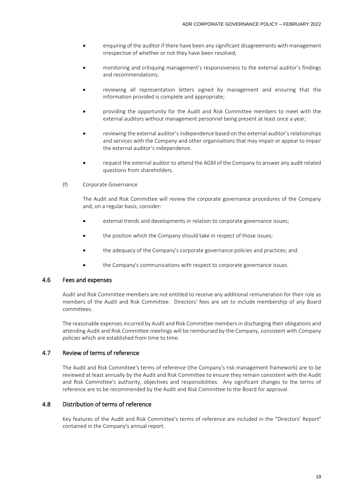- enquiring of the auditor if there have been any significant disagreements with management irrespective of whether or not they have been resolved;
- monitoring and critiquing management's responsiveness to the external auditor's findings and recommendations;
- reviewing all representation letters signed by management and ensuring that the information provided is complete and appropriate;
- providing the opportunity for the Audit and Risk Committee members to meet with the external auditors without management personnel being present at least once a year;
- reviewing the external auditor's independence based on the external auditor's relationships and services with the Company and other organisations that may impair or appear to impair the external auditor's independence.
- request the external auditor to attend the AGM of the Company to answer any audit related questions from shareholders.
- (f) Corporate Governance

The Audit and Risk Committee will review the corporate governance procedures of the Company and, on a regular basis, consider:

- external trends and developments in relation to corporate governance issues;
- the position which the Company should take in respect of those issues:
- the adequacy of the Company's corporate governance policies and practices; and
- the Company's communications with respect to corporate governance issues.

# 4.6 Fees and expenses

Audit and Risk Committee members are not entitled to receive any additional remuneration for their role as members of the Audit and Risk Committee. Directors' fees are set to include membership of any Board committees.

The reasonable expenses incurred by Audit and Risk Committee members in discharging their obligations and attending Audit and Risk Committee meetings will be reimbursed by the Company, consistent with Company policies which are established from time to time.

# 4.7 Review of terms of reference

The Audit and Risk Committee's terms of reference (the Company's risk management framework) are to be reviewed at least annually by the Audit and Risk Committee to ensure they remain consistent with the Audit and Risk Committee's authority, objectives and responsibilities. Any significant changes to the terms of reference are to be recommended by the Audit and Risk Committee to the Board for approval.

# 4.8 Distribution of terms of reference

Key features of the Audit and Risk Committee's terms of reference are included in the "Directors' Report" contained in the Company's annual report.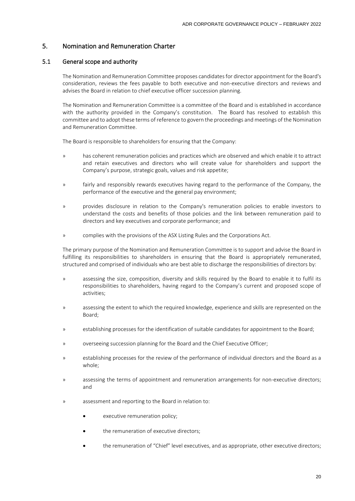# 5. Nomination and Remuneration Charter

# 5.1 General scope and authority

The Nomination and Remuneration Committee proposes candidates for director appointment for the Board's consideration, reviews the fees payable to both executive and non-executive directors and reviews and advises the Board in relation to chief executive officer succession planning.

The Nomination and Remuneration Committee is a committee of the Board and is established in accordance with the authority provided in the Company's constitution. The Board has resolved to establish this committee and to adopt these terms of reference to govern the proceedings and meetings of the Nomination and Remuneration Committee.

The Board is responsible to shareholders for ensuring that the Company:

- » has coherent remuneration policies and practices which are observed and which enable it to attract and retain executives and directors who will create value for shareholders and support the Company's purpose, strategic goals, values and risk appetite;
- » fairly and responsibly rewards executives having regard to the performance of the Company, the performance of the executive and the general pay environment;
- » provides disclosure in relation to the Company's remuneration policies to enable investors to understand the costs and benefits of those policies and the link between remuneration paid to directors and key executives and corporate performance; and
- » complies with the provisions of the ASX Listing Rules and the Corporations Act.

The primary purpose of the Nomination and Remuneration Committee is to support and advise the Board in fulfilling its responsibilities to shareholders in ensuring that the Board is appropriately remunerated, structured and comprised of individuals who are best able to discharge the responsibilities of directors by:

- » assessing the size, composition, diversity and skills required by the Board to enable it to fulfil its responsibilities to shareholders, having regard to the Company's current and proposed scope of activities;
- » assessing the extent to which the required knowledge, experience and skills are represented on the Board;
- » establishing processes for the identification of suitable candidates for appointment to the Board;
- » overseeing succession planning for the Board and the Chief Executive Officer;
- » establishing processes for the review of the performance of individual directors and the Board as a whole;
- » assessing the terms of appointment and remuneration arrangements for non-executive directors; and
- » assessment and reporting to the Board in relation to:
	- executive remuneration policy;
	- the remuneration of executive directors:
	- the remuneration of "Chief" level executives, and as appropriate, other executive directors;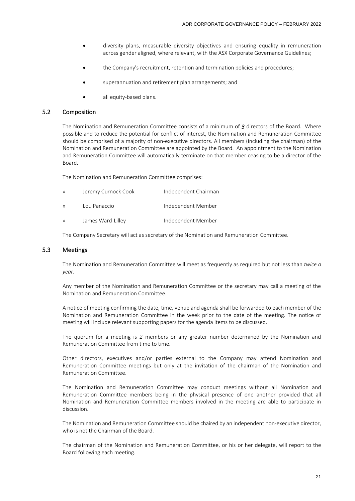- diversity plans, measurable diversity objectives and ensuring equality in remuneration across gender aligned, where relevant, with the ASX Corporate Governance Guidelines;
- the Company's recruitment, retention and termination policies and procedures;
- superannuation and retirement plan arrangements; and
- all equity-based plans.

#### 5.2 Composition

The Nomination and Remuneration Committee consists of a minimum of *3* directors of the Board. Where possible and to reduce the potential for conflict of interest, the Nomination and Remuneration Committee should be comprised of a majority of non-executive directors. All members (including the chairman) of the Nomination and Remuneration Committee are appointed by the Board. An appointment to the Nomination and Remuneration Committee will automatically terminate on that member ceasing to be a director of the Board.

The Nomination and Remuneration Committee comprises:

| $\mathcal{Y}$ | Jeremy Curnock Cook | Independent Chairman |
|---------------|---------------------|----------------------|
| $\mathcal{Y}$ | Lou Panaccio        | Independent Member   |
| $\mathcal{Y}$ | James Ward-Lilley   | Independent Member   |

The Company Secretary will act as secretary of the Nomination and Remuneration Committee.

#### 5.3 Meetings

The Nomination and Remuneration Committee will meet as frequently as required but not less than *twice a year*.

Any member of the Nomination and Remuneration Committee or the secretary may call a meeting of the Nomination and Remuneration Committee.

A notice of meeting confirming the date, time, venue and agenda shall be forwarded to each member of the Nomination and Remuneration Committee in the week prior to the date of the meeting. The notice of meeting will include relevant supporting papers for the agenda items to be discussed.

The quorum for a meeting is *2* members or any greater number determined by the Nomination and Remuneration Committee from time to time.

Other directors, executives and/or parties external to the Company may attend Nomination and Remuneration Committee meetings but only at the invitation of the chairman of the Nomination and Remuneration Committee.

The Nomination and Remuneration Committee may conduct meetings without all Nomination and Remuneration Committee members being in the physical presence of one another provided that all Nomination and Remuneration Committee members involved in the meeting are able to participate in discussion.

The Nomination and Remuneration Committee should be chaired by an independent non-executive director, who is not the Chairman of the Board.

The chairman of the Nomination and Remuneration Committee, or his or her delegate, will report to the Board following each meeting.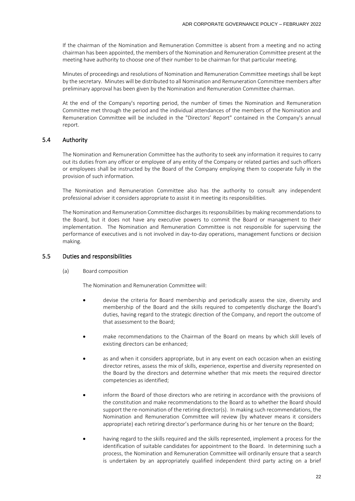If the chairman of the Nomination and Remuneration Committee is absent from a meeting and no acting chairman has been appointed, the members of the Nomination and Remuneration Committee present at the meeting have authority to choose one of their number to be chairman for that particular meeting.

Minutes of proceedings and resolutions of Nomination and Remuneration Committee meetings shall be kept by the secretary. Minutes will be distributed to all Nomination and Remuneration Committee members after preliminary approval has been given by the Nomination and Remuneration Committee chairman.

At the end of the Company's reporting period, the number of times the Nomination and Remuneration Committee met through the period and the individual attendances of the members of the Nomination and Remuneration Committee will be included in the "Directors' Report" contained in the Company's annual report.

# 5.4 Authority

The Nomination and Remuneration Committee has the authority to seek any information it requires to carry out its duties from any officer or employee of any entity of the Company or related parties and such officers or employees shall be instructed by the Board of the Company employing them to cooperate fully in the provision of such information.

The Nomination and Remuneration Committee also has the authority to consult any independent professional adviser it considers appropriate to assist it in meeting its responsibilities.

The Nomination and Remuneration Committee discharges its responsibilities by making recommendations to the Board, but it does not have any executive powers to commit the Board or management to their implementation. The Nomination and Remuneration Committee is not responsible for supervising the performance of executives and is not involved in day-to-day operations, management functions or decision making.

#### 5.5 Duties and responsibilities

(a) Board composition

The Nomination and Remuneration Committee will:

- devise the criteria for Board membership and periodically assess the size, diversity and membership of the Board and the skills required to competently discharge the Board's duties, having regard to the strategic direction of the Company, and report the outcome of that assessment to the Board;
- make recommendations to the Chairman of the Board on means by which skill levels of existing directors can be enhanced;
- as and when it considers appropriate, but in any event on each occasion when an existing director retires, assess the mix of skills, experience, expertise and diversity represented on the Board by the directors and determine whether that mix meets the required director competencies as identified;
- inform the Board of those directors who are retiring in accordance with the provisions of the constitution and make recommendations to the Board as to whether the Board should support the re-nomination of the retiring director(s). In making such recommendations, the Nomination and Remuneration Committee will review (by whatever means it considers appropriate) each retiring director's performance during his or her tenure on the Board;
- having regard to the skills required and the skills represented, implement a process for the identification of suitable candidates for appointment to the Board. In determining such a process, the Nomination and Remuneration Committee will ordinarily ensure that a search is undertaken by an appropriately qualified independent third party acting on a brief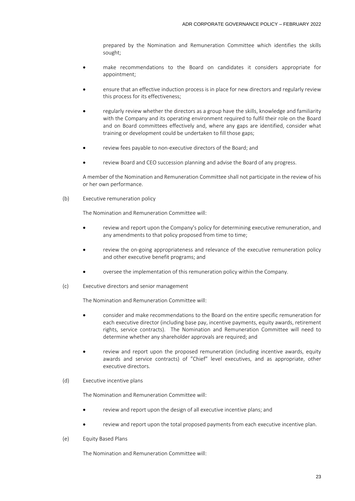prepared by the Nomination and Remuneration Committee which identifies the skills sought;

- make recommendations to the Board on candidates it considers appropriate for appointment;
- ensure that an effective induction process is in place for new directors and regularly review this process for its effectiveness;
- regularly review whether the directors as a group have the skills, knowledge and familiarity with the Company and its operating environment required to fulfil their role on the Board and on Board committees effectively and, where any gaps are identified, consider what training or development could be undertaken to fill those gaps;
- review fees payable to non-executive directors of the Board; and
- review Board and CEO succession planning and advise the Board of any progress.

A member of the Nomination and Remuneration Committee shall not participate in the review of his or her own performance.

(b) Executive remuneration policy

The Nomination and Remuneration Committee will:

- review and report upon the Company's policy for determining executive remuneration, and any amendments to that policy proposed from time to time;
- review the on-going appropriateness and relevance of the executive remuneration policy and other executive benefit programs; and
- oversee the implementation of this remuneration policy within the Company.
- (c) Executive directors and senior management

The Nomination and Remuneration Committee will:

- consider and make recommendations to the Board on the entire specific remuneration for each executive director (including base pay, incentive payments, equity awards, retirement rights, service contracts). The Nomination and Remuneration Committee will need to determine whether any shareholder approvals are required; and
- review and report upon the proposed remuneration (including incentive awards, equity awards and service contracts) of "Chief" level executives, and as appropriate, other executive directors.

#### (d) Executive incentive plans

The Nomination and Remuneration Committee will:

- review and report upon the design of all executive incentive plans; and
- review and report upon the total proposed payments from each executive incentive plan.
- (e) Equity Based Plans

The Nomination and Remuneration Committee will: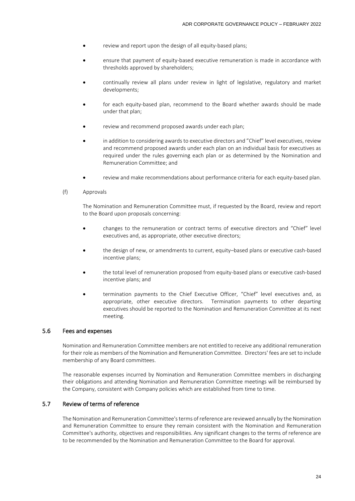- review and report upon the design of all equity-based plans;
- ensure that payment of equity-based executive remuneration is made in accordance with thresholds approved by shareholders;
- continually review all plans under review in light of legislative, regulatory and market developments;
- for each equity-based plan, recommend to the Board whether awards should be made under that plan;
- review and recommend proposed awards under each plan;
- in addition to considering awards to executive directors and "Chief" level executives, review and recommend proposed awards under each plan on an individual basis for executives as required under the rules governing each plan or as determined by the Nomination and Remuneration Committee; and
- review and make recommendations about performance criteria for each equity-based plan.
- (f) Approvals

The Nomination and Remuneration Committee must, if requested by the Board, review and report to the Board upon proposals concerning:

- changes to the remuneration or contract terms of executive directors and "Chief" level executives and, as appropriate, other executive directors;
- the design of new, or amendments to current, equity–based plans or executive cash-based incentive plans;
- the total level of remuneration proposed from equity-based plans or executive cash-based incentive plans; and
- termination payments to the Chief Executive Officer, "Chief" level executives and, as appropriate, other executive directors. Termination payments to other departing executives should be reported to the Nomination and Remuneration Committee at its next meeting.

# 5.6 Fees and expenses

Nomination and Remuneration Committee members are not entitled to receive any additional remuneration for their role as members of the Nomination and Remuneration Committee. Directors' fees are set to include membership of any Board committees.

The reasonable expenses incurred by Nomination and Remuneration Committee members in discharging their obligations and attending Nomination and Remuneration Committee meetings will be reimbursed by the Company, consistent with Company policies which are established from time to time.

# 5.7 Review of terms of reference

The Nomination and Remuneration Committee's terms of reference are reviewed annually by the Nomination and Remuneration Committee to ensure they remain consistent with the Nomination and Remuneration Committee's authority, objectives and responsibilities. Any significant changes to the terms of reference are to be recommended by the Nomination and Remuneration Committee to the Board for approval.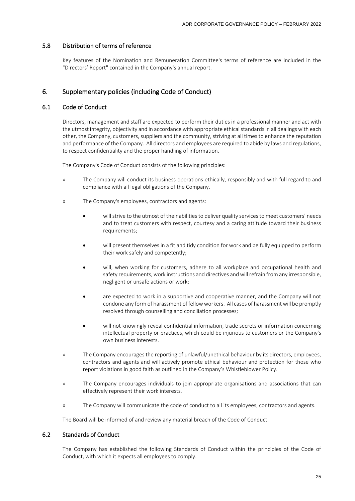# 5.8 Distribution of terms of reference

Key features of the Nomination and Remuneration Committee's terms of reference are included in the "Directors' Report" contained in the Company's annual report.

# 6. Supplementary policies (including Code of Conduct)

# 6.1 Code of Conduct

Directors, management and staff are expected to perform their duties in a professional manner and act with the utmost integrity, objectivity and in accordance with appropriate ethical standards in all dealings with each other, the Company, customers, suppliers and the community, striving at all times to enhance the reputation and performance of the Company. All directors and employees are required to abide by laws and regulations, to respect confidentiality and the proper handling of information.

The Company's Code of Conduct consists of the following principles:

- » The Company will conduct its business operations ethically, responsibly and with full regard to and compliance with all legal obligations of the Company.
- » The Company's employees, contractors and agents:
	- will strive to the utmost of their abilities to deliver quality services to meet customers' needs and to treat customers with respect, courtesy and a caring attitude toward their business requirements;
	- will present themselves in a fit and tidy condition for work and be fully equipped to perform their work safely and competently;
	- will, when working for customers, adhere to all workplace and occupational health and safety requirements, work instructions and directives and will refrain from any irresponsible, negligent or unsafe actions or work;
	- are expected to work in a supportive and cooperative manner, and the Company will not condone any form of harassment of fellow workers. All cases of harassment will be promptly resolved through counselling and conciliation processes;
	- will not knowingly reveal confidential information, trade secrets or information concerning intellectual property or practices, which could be injurious to customers or the Company's own business interests.
- » The Company encourages the reporting of unlawful/unethical behaviour by its directors, employees, contractors and agents and will actively promote ethical behaviour and protection for those who report violations in good faith as outlined in the Company's Whistleblower Policy.
- » The Company encourages individuals to join appropriate organisations and associations that can effectively represent their work interests.
- » The Company will communicate the code of conduct to all its employees, contractors and agents.

The Board will be informed of and review any material breach of the Code of Conduct.

# 6.2 Standards of Conduct

The Company has established the following Standards of Conduct within the principles of the Code of Conduct, with which it expects all employees to comply.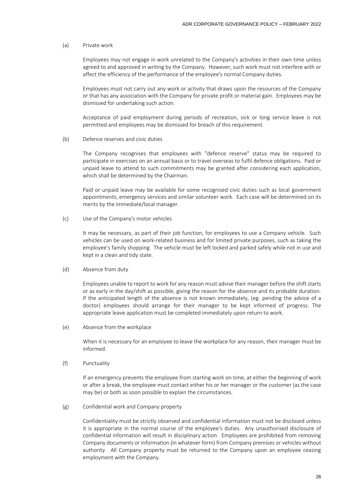# (a) Private work

Employees may not engage in work unrelated to the Company's activities in their own time unless agreed to and approved in writing by the Company. However, such work must not interfere with or affect the efficiency of the performance of the employee's normal Company duties.

Employees must not carry out any work or activity that draws upon the resources of the Company or that has any association with the Company for private profit or material gain. Employees may be dismissed for undertaking such action.

Acceptance of paid employment during periods of recreation, sick or long service leave is not permitted and employees may be dismissed for breach of this requirement.

(b) Defence reserves and civic duties

The Company recognises that employees with "defence reserve" status may be required to participate in exercises on an annual basis or to travel overseas to fulfil defence obligations. Paid or unpaid leave to attend to such commitments may be granted after considering each application, which shall be determined by the Chairman.

Paid or unpaid leave may be available for some recognised civic duties such as local government appointments, emergency services and similar volunteer work. Each case will be determined on its merits by the immediate/local manager.

(c) Use of the Company's motor vehicles

It may be necessary, as part of their job function, for employees to use a Company vehicle. Such vehicles can be used on work-related business and for limited private purposes, such as taking the employee's family shopping. The vehicle must be left locked and parked safely while not in use and kept in a clean and tidy state.

(d) Absence from duty

Employees unable to report to work for any reason must advise their manager before the shift starts or as early in the day/shift as possible, giving the reason for the absence and its probable duration. If the anticipated length of the absence is not known immediately, (eg. pending the advice of a doctor) employees should arrange for their manager to be kept informed of progress. The appropriate leave application must be completed immediately upon return to work.

(e) Absence from the workplace

When it is necessary for an employee to leave the workplace for any reason, their manager must be informed.

(f) Punctuality

If an emergency prevents the employee from starting work on time, at either the beginning of work or after a break, the employee must contact either his or her manager or the customer (as the case may be) or both as soon possible to explain the circumstances.

(g) Confidential work and Company property

Confidentiality must be strictly observed and confidential information must not be disclosed unless it is appropriate in the normal course of the employee's duties. Any unauthorised disclosure of confidential information will result in disciplinary action. Employees are prohibited from removing Company documents or information (in whatever form) from Company premises or vehicles without authority. All Company property must be returned to the Company upon an employee ceasing employment with the Company.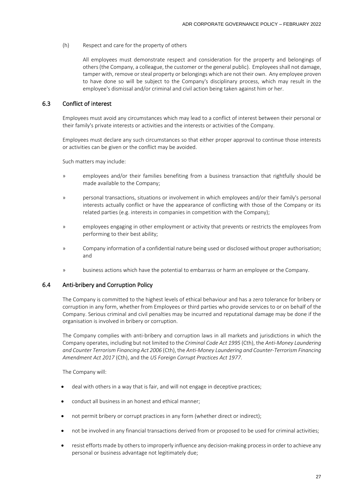(h) Respect and care for the property of others

All employees must demonstrate respect and consideration for the property and belongings of others (the Company, a colleague, the customer or the general public). Employees shall not damage, tamper with, remove or steal property or belongings which are not their own. Any employee proven to have done so will be subject to the Company's disciplinary process, which may result in the employee's dismissal and/or criminal and civil action being taken against him or her.

# 6.3 Conflict of interest

Employees must avoid any circumstances which may lead to a conflict of interest between their personal or their family's private interests or activities and the interests or activities of the Company.

Employees must declare any such circumstances so that either proper approval to continue those interests or activities can be given or the conflict may be avoided.

Such matters may include:

- » employees and/or their families benefiting from a business transaction that rightfully should be made available to the Company;
- » personal transactions, situations or involvement in which employees and/or their family's personal interests actually conflict or have the appearance of conflicting with those of the Company or its related parties (e.g. interests in companies in competition with the Company);
- » employees engaging in other employment or activity that prevents or restricts the employees from performing to their best ability;
- » Company information of a confidential nature being used or disclosed without proper authorisation; and
- » business actions which have the potential to embarrass or harm an employee or the Company.

# 6.4 Anti-bribery and Corruption Policy

The Company is committed to the highest levels of ethical behaviour and has a zero tolerance for bribery or corruption in any form, whether from Employees or third parties who provide services to or on behalf of the Company. Serious criminal and civil penalties may be incurred and reputational damage may be done if the organisation is involved in bribery or corruption.

The Company complies with anti-bribery and corruption laws in all markets and jurisdictions in which the Company operates, including but not limited to the *Criminal Code Act 1995* (Cth), the *Anti-Money Laundering and Counter Terrorism Financing Act 2006* (Cth), the *Anti-Money Laundering and Counter-Terrorism Financing Amendment Act 2017* (Cth), and the *US Foreign Corrupt Practices Act 1977*.

The Company will:

- deal with others in a way that is fair, and will not engage in deceptive practices;
- conduct all business in an honest and ethical manner;
- not permit bribery or corrupt practices in any form (whether direct or indirect);
- not be involved in any financial transactions derived from or proposed to be used for criminal activities;
- resist efforts made by others to improperly influence any decision-making process in order to achieve any personal or business advantage not legitimately due;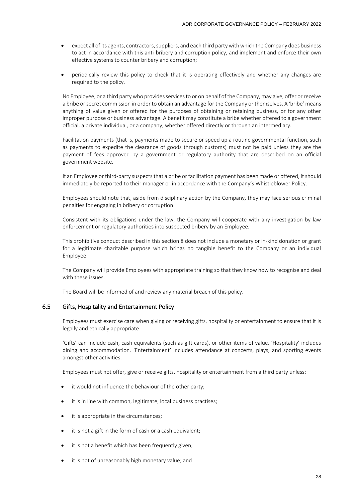- expect all of its agents, contractors, suppliers, and each third party with which the Company does business to act in accordance with this anti-bribery and corruption policy, and implement and enforce their own effective systems to counter bribery and corruption;
- periodically review this policy to check that it is operating effectively and whether any changes are required to the policy.

No Employee, or a third party who provides services to or on behalf of the Company, may give, offer or receive a bribe or secret commission in order to obtain an advantage for the Company or themselves. A 'bribe' means anything of value given or offered for the purposes of obtaining or retaining business, or for any other improper purpose or business advantage. A benefit may constitute a bribe whether offered to a government official, a private individual, or a company, whether offered directly or through an intermediary.

Facilitation payments (that is, payments made to secure or speed up a routine governmental function, such as payments to expedite the clearance of goods through customs) must not be paid unless they are the payment of fees approved by a government or regulatory authority that are described on an official government website.

If an Employee or third-party suspects that a bribe or facilitation payment has been made or offered, it should immediately be reported to their manager or in accordance with the Company's Whistleblower Policy.

Employees should note that, aside from disciplinary action by the Company, they may face serious criminal penalties for engaging in bribery or corruption.

Consistent with its obligations under the law, the Company will cooperate with any investigation by law enforcement or regulatory authorities into suspected bribery by an Employee.

This prohibitive conduct described in this section 8 does not include a monetary or in-kind donation or grant for a legitimate charitable purpose which brings no tangible benefit to the Company or an individual Employee.

The Company will provide Employees with appropriate training so that they know how to recognise and deal with these issues.

The Board will be informed of and review any material breach of this policy.

#### 6.5 Gifts, Hospitality and Entertainment Policy

Employees must exercise care when giving or receiving gifts, hospitality or entertainment to ensure that it is legally and ethically appropriate.

'Gifts' can include cash, cash equivalents (such as gift cards), or other items of value. 'Hospitality' includes dining and accommodation. 'Entertainment' includes attendance at concerts, plays, and sporting events amongst other activities.

Employees must not offer, give or receive gifts, hospitality or entertainment from a third party unless:

- it would not influence the behaviour of the other party;
- it is in line with common, legitimate, local business practises;
- it is appropriate in the circumstances;
- it is not a gift in the form of cash or a cash equivalent;
- it is not a benefit which has been frequently given;
- it is not of unreasonably high monetary value; and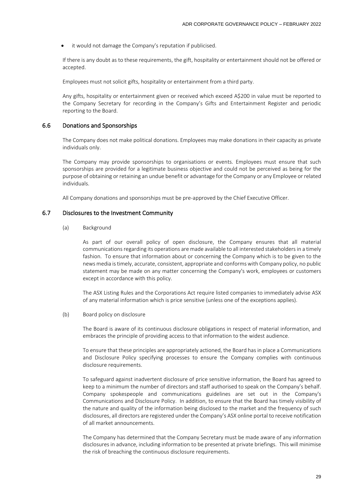it would not damage the Company's reputation if publicised.

If there is any doubt as to these requirements, the gift, hospitality or entertainment should not be offered or accepted.

Employees must not solicit gifts, hospitality or entertainment from a third party.

Any gifts, hospitality or entertainment given or received which exceed A\$200 in value must be reported to the Company Secretary for recording in the Company's Gifts and Entertainment Register and periodic reporting to the Board.

#### 6.6 Donations and Sponsorships

The Company does not make political donations. Employees may make donations in their capacity as private individuals only.

The Company may provide sponsorships to organisations or events. Employees must ensure that such sponsorships are provided for a legitimate business objective and could not be perceived as being for the purpose of obtaining or retaining an undue benefit or advantage for the Company or any Employee or related individuals.

All Company donations and sponsorships must be pre-approved by the Chief Executive Officer.

# 6.7 Disclosures to the Investment Community

(a) Background

As part of our overall policy of open disclosure, the Company ensures that all material communications regarding its operations are made available to all interested stakeholders in a timely fashion. To ensure that information about or concerning the Company which is to be given to the news media is timely, accurate, consistent, appropriate and conforms with Company policy, no public statement may be made on any matter concerning the Company's work, employees or customers except in accordance with this policy.

The ASX Listing Rules and the Corporations Act require listed companies to immediately advise ASX of any material information which is price sensitive (unless one of the exceptions applies).

#### (b) Board policy on disclosure

The Board is aware of its continuous disclosure obligations in respect of material information, and embraces the principle of providing access to that information to the widest audience.

To ensure that these principles are appropriately actioned, the Board has in place a Communications and Disclosure Policy specifying processes to ensure the Company complies with continuous disclosure requirements.

To safeguard against inadvertent disclosure of price sensitive information, the Board has agreed to keep to a minimum the number of directors and staff authorised to speak on the Company's behalf. Company spokespeople and communications guidelines are set out in the Company's Communications and Disclosure Policy. In addition, to ensure that the Board has timely visibility of the nature and quality of the information being disclosed to the market and the frequency of such disclosures, all directors are registered under the Company's ASX online portal to receive notification of all market announcements.

The Company has determined that the Company Secretary must be made aware of any information disclosures in advance, including information to be presented at private briefings. This will minimise the risk of breaching the continuous disclosure requirements.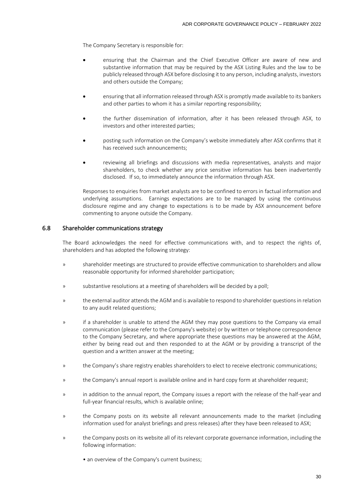The Company Secretary is responsible for:

- ensuring that the Chairman and the Chief Executive Officer are aware of new and substantive information that may be required by the ASX Listing Rules and the law to be publicly released through ASX before disclosing it to any person, including analysts, investors and others outside the Company;
- ensuring that all information released through ASX is promptly made available to its bankers and other parties to whom it has a similar reporting responsibility;
- the further dissemination of information, after it has been released through ASX, to investors and other interested parties;
- posting such information on the Company's website immediately after ASX confirms that it has received such announcements;
- reviewing all briefings and discussions with media representatives, analysts and major shareholders, to check whether any price sensitive information has been inadvertently disclosed. If so, to immediately announce the information through ASX.

Responses to enquiries from market analysts are to be confined to errors in factual information and underlying assumptions. Earnings expectations are to be managed by using the continuous disclosure regime and any change to expectations is to be made by ASX announcement before commenting to anyone outside the Company.

# 6.8 Shareholder communications strategy

The Board acknowledges the need for effective communications with, and to respect the rights of, shareholders and has adopted the following strategy:

- » shareholder meetings are structured to provide effective communication to shareholders and allow reasonable opportunity for informed shareholder participation;
- » substantive resolutions at a meeting of shareholders will be decided by a poll;
- » the external auditor attends the AGM and is available to respond to shareholder questionsin relation to any audit related questions;
- » if a shareholder is unable to attend the AGM they may pose questions to the Company via email communication (please refer to the Company's website) or by written or telephone correspondence to the Company Secretary, and where appropriate these questions may be answered at the AGM, either by being read out and then responded to at the AGM or by providing a transcript of the question and a written answer at the meeting;
- » the Company's share registry enables shareholders to elect to receive electronic communications;
- » the Company's annual report is available online and in hard copy form at shareholder request;
- » in addition to the annual report, the Company issues a report with the release of the half-year and full-year financial results, which is available online;
- » the Company posts on its website all relevant announcements made to the market (including information used for analyst briefings and press releases) after they have been released to ASX;
- » the Company posts on its website all of its relevant corporate governance information, including the following information:
	- an overview of the Company's current business;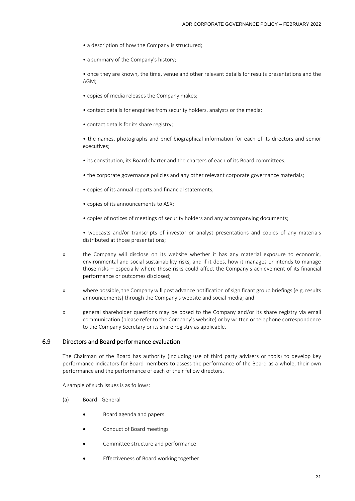- a description of how the Company is structured;
- a summary of the Company's history;

• once they are known, the time, venue and other relevant details for results presentations and the AGM;

- copies of media releases the Company makes;
- contact details for enquiries from security holders, analysts or the media;
- contact details for its share registry;

• the names, photographs and brief biographical information for each of its directors and senior executives;

- its constitution, its Board charter and the charters of each of its Board committees;
- the corporate governance policies and any other relevant corporate governance materials;
- copies of its annual reports and financial statements;
- copies of its announcements to ASX;
- copies of notices of meetings of security holders and any accompanying documents;

• webcasts and/or transcripts of investor or analyst presentations and copies of any materials distributed at those presentations;

- » the Company will disclose on its website whether it has any material exposure to economic, environmental and social sustainability risks, and if it does, how it manages or intends to manage those risks – especially where those risks could affect the Company's achievement of its financial performance or outcomes disclosed;
- » where possible, the Company will post advance notification of significant group briefings (e.g. results announcements) through the Company's website and social media; and
- » general shareholder questions may be posed to the Company and/or its share registry via email communication (please refer to the Company's website) or by written or telephone correspondence to the Company Secretary or its share registry as applicable.

# 6.9 Directors and Board performance evaluation

The Chairman of the Board has authority (including use of third party advisers or tools) to develop key performance indicators for Board members to assess the performance of the Board as a whole, their own performance and the performance of each of their fellow directors.

A sample of such issues is as follows:

- (a) Board General
	- Board agenda and papers
	- Conduct of Board meetings
	- Committee structure and performance
	- Effectiveness of Board working together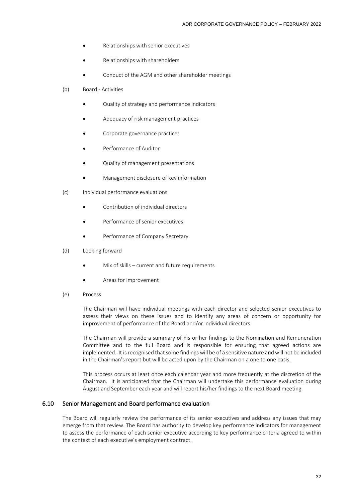- Relationships with senior executives
- Relationships with shareholders
- Conduct of the AGM and other shareholder meetings
- (b) Board Activities
	- Quality of strategy and performance indicators
	- Adequacy of risk management practices
	- Corporate governance practices
	- Performance of Auditor
	- Quality of management presentations
	- Management disclosure of key information
- (c) Individual performance evaluations
	- Contribution of individual directors
	- Performance of senior executives
	- Performance of Company Secretary
- (d) Looking forward
	- Mix of skills current and future requirements
	- Areas for improvement
- (e) Process

The Chairman will have individual meetings with each director and selected senior executives to assess their views on these issues and to identify any areas of concern or opportunity for improvement of performance of the Board and/or individual directors.

The Chairman will provide a summary of his or her findings to the Nomination and Remuneration Committee and to the full Board and is responsible for ensuring that agreed actions are implemented. It is recognised that some findings will be of a sensitive nature and will not be included in the Chairman's report but will be acted upon by the Chairman on a one to one basis.

This process occurs at least once each calendar year and more frequently at the discretion of the Chairman. It is anticipated that the Chairman will undertake this performance evaluation during August and September each year and will report his/her findings to the next Board meeting.

#### 6.10 Senior Management and Board performance evaluation

The Board will regularly review the performance of its senior executives and address any issues that may emerge from that review. The Board has authority to develop key performance indicators for management to assess the performance of each senior executive according to key performance criteria agreed to within the context of each executive's employment contract.